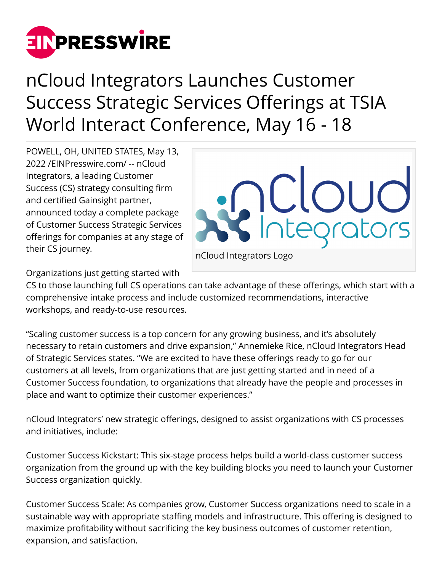

nCloud Integrators Launches Customer Success Strategic Services Offerings at TSIA World Interact Conference, May 16 - 18

POWELL, OH, UNITED STATES, May 13, 2022 /[EINPresswire.com](http://www.einpresswire.com)/ -- nCloud Integrators, a leading Customer Success (CS) strategy consulting firm and certified Gainsight partner, announced today a complete package of Customer Success Strategic Services offerings for companies at any stage of their CS journey.



nCloud Integrators Logo

Organizations just getting started with

CS to those launching full CS operations can take advantage of these offerings, which start with a comprehensive intake process and include customized recommendations, interactive workshops, and ready-to-use resources.

"Scaling customer success is a top concern for any growing business, and it's absolutely necessary to retain customers and drive expansion," Annemieke Rice, nCloud Integrators Head of Strategic Services states. "We are excited to have these offerings ready to go for our customers at all levels, from organizations that are just getting started and in need of a Customer Success foundation, to organizations that already have the people and processes in place and want to optimize their customer experiences."

nCloud Integrators' new strategic offerings, designed to assist organizations with CS processes and initiatives, include:

Customer Success Kickstart: This six-stage process helps build a world-class customer success organization from the ground up with the key building blocks you need to launch your Customer Success organization quickly.

Customer Success Scale: As companies grow, Customer Success organizations need to scale in a sustainable way with appropriate staffing models and infrastructure. This offering is designed to maximize profitability without sacrificing the key business outcomes of customer retention, expansion, and satisfaction.